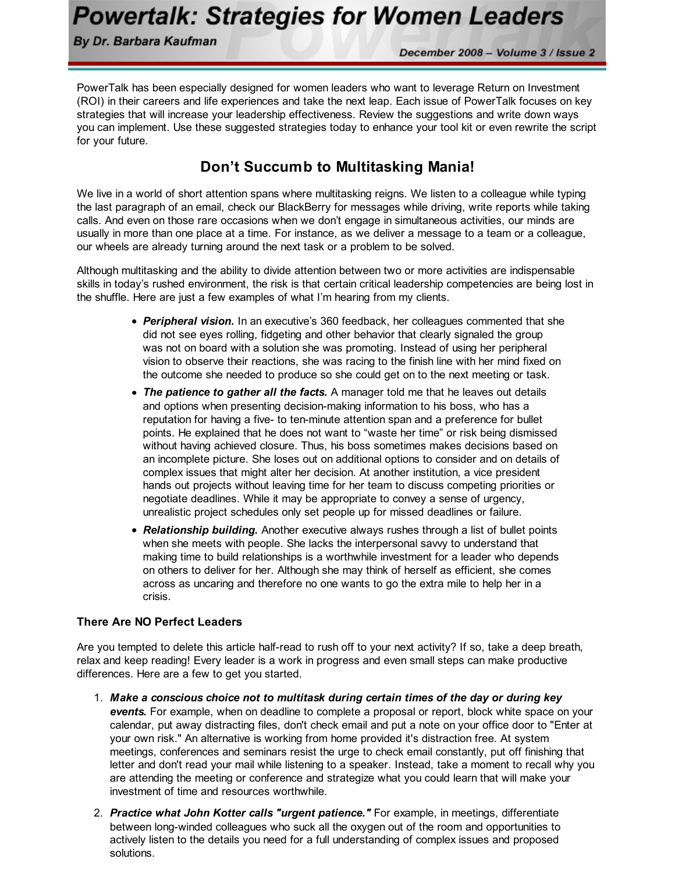**Powertalk: Strategies for Women Leaders** 

By Dr. Barbara Kaufman

December 2008 - Volume 3 / Issue 2

PowerTalk has been especially designed for women leaders who want to leverage Return on Investment (ROI) in their careers and life experiences and take the next leap. Each issue of PowerTalk focuses on key strategies that will increase your leadership effectiveness. Review the suggestions and write down ways you can implement. Use these suggested strategies today to enhance your tool kit or even rewrite the script for your future.

## Don't Succumb to Multitasking Mania!

We live in a world of short attention spans where multitasking reigns. We listen to a colleague while typing the last paragraph of an email, check our BlackBerry for messages while driving, write reports while taking calls. And even on those rare occasions when we don't engage in simultaneous activities, our minds are usually in more than one place at a time. For instance, as we deliver a message to a team or a colleague, our wheels are already turning around the next task or a problem to be solved.

Although multitasking and the ability to divide attention between two or more activities are indispensable skills in today's rushed environment, the risk is that certain critical leadership competencies are being lost in the shuffle. Here are just a few examples of what I'm hearing from my clients.

- Peripheral vision. In an executive's 360 feedback, her colleagues commented that she did not see eyes rolling, fidgeting and other behavior that clearly signaled the group was not on board with a solution she was promoting. Instead of using her peripheral vision to observe their reactions, she was racing to the finish line with her mind fixed on the outcome she needed to produce so she could get on to the next meeting or task.
- The patience to gather all the facts. A manager told me that he leaves out details and options when presenting decision-making information to his boss, who has a reputation for having a five- to ten-minute attention span and a preference for bullet points. He explained that he does not want to "waste her time" or risk being dismissed without having achieved closure. Thus, his boss sometimes makes decisions based on an incomplete picture. She loses out on additional options to consider and on details of complex issues that might alter her decision. At another institution, a vice president hands out projects without leaving time for her team to discuss competing priorities or negotiate deadlines. While it may be appropriate to convey a sense of urgency, unrealistic project schedules only set people up for missed deadlines or failure.
- Relationship building. Another executive always rushes through a list of bullet points when she meets with people. She lacks the interpersonal savvy to understand that making time to build relationships is a worthwhile investment for a leader who depends on others to deliver for her. Although she may think of herself as efficient, she comes across as uncaring and therefore no one wants to go the extra mile to help her in a crisis.

## There Are NO Perfect Leaders

Are you tempted to delete this article half-read to rush off to your next activity? If so, take a deep breath, relax and keep reading! Every leader is a work in progress and even small steps can make productive differences. Here are a few to get you started.

- 1. Make a conscious choice not to multitask during certain times of the day or during key events. For example, when on deadline to complete a proposal or report, block white space on your calendar, put away distracting files, don't check email and put a note on your office door to "Enter at your own risk." An alternative is working from home provided it's distraction free. At system meetings, conferences and seminars resist the urge to check email constantly, put off finishing that letter and don't read your mail while listening to a speaker. Instead, take a moment to recall why you are attending the meeting or conference and strategize what you could learn that will make your investment of time and resources worthwhile.
- 2. Practice what John Kotter calls "urgent patience." For example, in meetings, differentiate between long-winded colleagues who suck all the oxygen out of the room and opportunities to actively listen to the details you need for a full understanding of complex issues and proposed solutions.